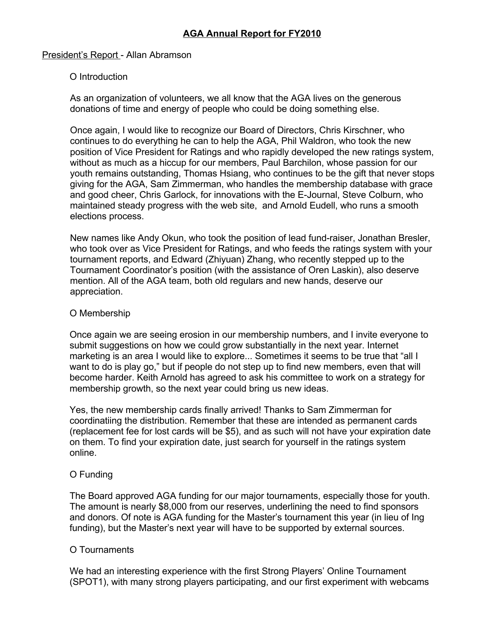# President's Report - Allan Abramson

# O Introduction

As an organization of volunteers, we all know that the AGA lives on the generous donations of time and energy of people who could be doing something else.

Once again, I would like to recognize our Board of Directors, Chris Kirschner, who continues to do everything he can to help the AGA, Phil Waldron, who took the new position of Vice President for Ratings and who rapidly developed the new ratings system, without as much as a hiccup for our members, Paul Barchilon, whose passion for our youth remains outstanding, Thomas Hsiang, who continues to be the gift that never stops giving for the AGA, Sam Zimmerman, who handles the membership database with grace and good cheer, Chris Garlock, for innovations with the E-Journal, Steve Colburn, who maintained steady progress with the web site, and Arnold Eudell, who runs a smooth elections process.

New names like Andy Okun, who took the position of lead fund-raiser, Jonathan Bresler, who took over as Vice President for Ratings, and who feeds the ratings system with your tournament reports, and Edward (Zhiyuan) Zhang, who recently stepped up to the Tournament Coordinator's position (with the assistance of Oren Laskin), also deserve mention. All of the AGA team, both old regulars and new hands, deserve our appreciation.

### O Membership

Once again we are seeing erosion in our membership numbers, and I invite everyone to submit suggestions on how we could grow substantially in the next year. Internet marketing is an area I would like to explore... Sometimes it seems to be true that "all I want to do is play go," but if people do not step up to find new members, even that will become harder. Keith Arnold has agreed to ask his committee to work on a strategy for membership growth, so the next year could bring us new ideas.

Yes, the new membership cards finally arrived! Thanks to Sam Zimmerman for coordinatiing the distribution. Remember that these are intended as permanent cards (replacement fee for lost cards will be \$5), and as such will not have your expiration date on them. To find your expiration date, just search for yourself in the ratings system online.

# O Funding

The Board approved AGA funding for our major tournaments, especially those for youth. The amount is nearly \$8,000 from our reserves, underlining the need to find sponsors and donors. Of note is AGA funding for the Master's tournament this year (in lieu of Ing funding), but the Master's next year will have to be supported by external sources.

# O Tournaments

We had an interesting experience with the first Strong Players' Online Tournament (SPOT1), with many strong players participating, and our first experiment with webcams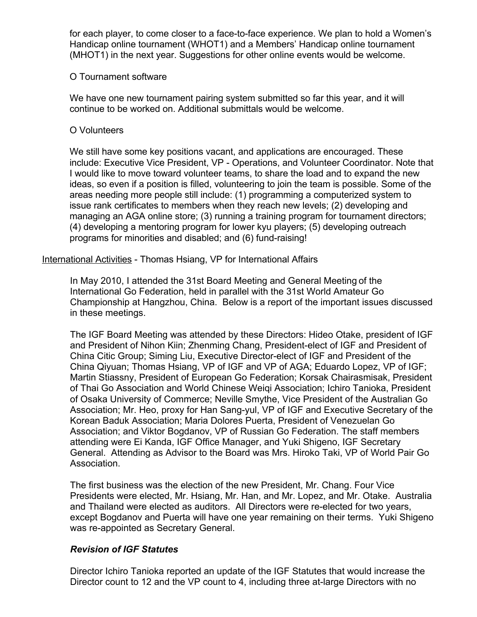for each player, to come closer to a face-to-face experience. We plan to hold a Women's Handicap online tournament (WHOT1) and a Members' Handicap online tournament (MHOT1) in the next year. Suggestions for other online events would be welcome.

### O Tournament software

We have one new tournament pairing system submitted so far this year, and it will continue to be worked on. Additional submittals would be welcome.

#### O Volunteers

We still have some key positions vacant, and applications are encouraged. These include: Executive Vice President, VP - Operations, and Volunteer Coordinator. Note that I would like to move toward volunteer teams, to share the load and to expand the new ideas, so even if a position is filled, volunteering to join the team is possible. Some of the areas needing more people still include: (1) programming a computerized system to issue rank certificates to members when they reach new levels; (2) developing and managing an AGA online store; (3) running a training program for tournament directors; (4) developing a mentoring program for lower kyu players; (5) developing outreach programs for minorities and disabled; and (6) fund-raising!

International Activities - Thomas Hsiang, VP for International Affairs

In May 2010, I attended the 31st Board Meeting and General Meeting of the International Go Federation, held in parallel with the 31st World Amateur Go Championship at Hangzhou, China. Below is a report of the important issues discussed in these meetings.

The IGF Board Meeting was attended by these Directors: Hideo Otake, president of IGF and President of Nihon Kiin; Zhenming Chang, President-elect of IGF and President of China Citic Group; Siming Liu, Executive Director-elect of IGF and President of the China Qiyuan; Thomas Hsiang, VP of IGF and VP of AGA; Eduardo Lopez, VP of IGF; Martin Stiassny, President of European Go Federation; Korsak Chairasmisak, President of Thai Go Association and World Chinese Weiqi Association; Ichiro Tanioka, President of Osaka University of Commerce; Neville Smythe, Vice President of the Australian Go Association; Mr. Heo, proxy for Han Sang-yul, VP of IGF and Executive Secretary of the Korean Baduk Association; Maria Dolores Puerta, President of Venezuelan Go Association; and Viktor Bogdanov, VP of Russian Go Federation. The staff members attending were Ei Kanda, IGF Office Manager, and Yuki Shigeno, IGF Secretary General. Attending as Advisor to the Board was Mrs. Hiroko Taki, VP of World Pair Go Association.

The first business was the election of the new President, Mr. Chang. Four Vice Presidents were elected, Mr. Hsiang, Mr. Han, and Mr. Lopez, and Mr. Otake. Australia and Thailand were elected as auditors. All Directors were re-elected for two years, except Bogdanov and Puerta will have one year remaining on their terms. Yuki Shigeno was re-appointed as Secretary General.

# *Revision of IGF Statutes*

Director Ichiro Tanioka reported an update of the IGF Statutes that would increase the Director count to 12 and the VP count to 4, including three at-large Directors with no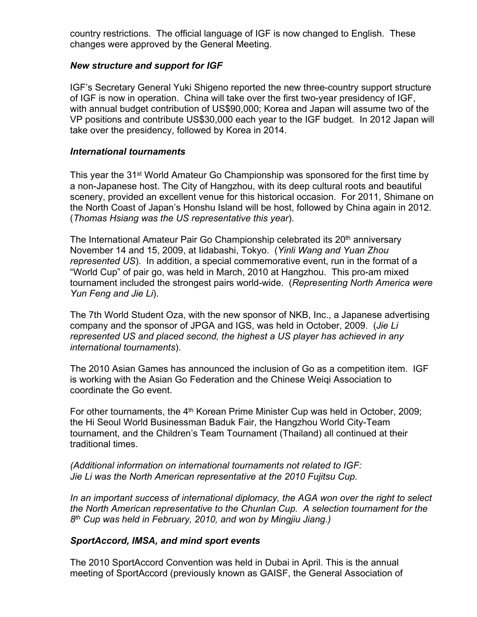country restrictions. The official language of IGF is now changed to English. These changes were approved by the General Meeting.

# *New structure and support for IGF*

IGF's Secretary General Yuki Shigeno reported the new three-country support structure of IGF is now in operation. China will take over the first two-year presidency of IGF, with annual budget contribution of US\$90,000; Korea and Japan will assume two of the VP positions and contribute US\$30,000 each year to the IGF budget. In 2012 Japan will take over the presidency, followed by Korea in 2014.

## *International tournaments*

This year the 31<sup>st</sup> World Amateur Go Championship was sponsored for the first time by a non-Japanese host. The City of Hangzhou, with its deep cultural roots and beautiful scenery, provided an excellent venue for this historical occasion. For 2011, Shimane on the North Coast of Japan's Honshu Island will be host, followed by China again in 2012. (*Thomas Hsiang was the US representative this year*).

The International Amateur Pair Go Championship celebrated its 20<sup>th</sup> anniversary November 14 and 15, 2009, at Iidabashi, Tokyo. (*Yinli Wang and Yuan Zhou represented US*). In addition, a special commemorative event, run in the format of a "World Cup" of pair go, was held in March, 2010 at Hangzhou. This pro-am mixed tournament included the strongest pairs world-wide. (*Representing North America were Yun Feng and Jie Li*).

The 7th World Student Oza, with the new sponsor of NKB, Inc., a Japanese advertising company and the sponsor of JPGA and IGS, was held in October, 2009. (*Jie Li represented US and placed second, the highest a US player has achieved in any international tournaments*).

The 2010 Asian Games has announced the inclusion of Go as a competition item. IGF is working with the Asian Go Federation and the Chinese Weiqi Association to coordinate the Go event.

For other tournaments, the 4<sup>th</sup> Korean Prime Minister Cup was held in October, 2009; the Hi Seoul World Businessman Baduk Fair, the Hangzhou World City-Team tournament, and the Children's Team Tournament (Thailand) all continued at their traditional times.

*(Additional information on international tournaments not related to IGF: Jie Li was the North American representative at the 2010 Fujitsu Cup.*

*In an important success of international diplomacy, the AGA won over the right to select the North American representative to the Chunlan Cup. A selection tournament for the 8 th Cup was held in February, 2010, and won by Mingjiu Jiang.)*

# *SportAccord, IMSA, and mind sport events*

The 2010 SportAccord Convention was held in Dubai in April. This is the annual meeting of SportAccord (previously known as GAISF, the General Association of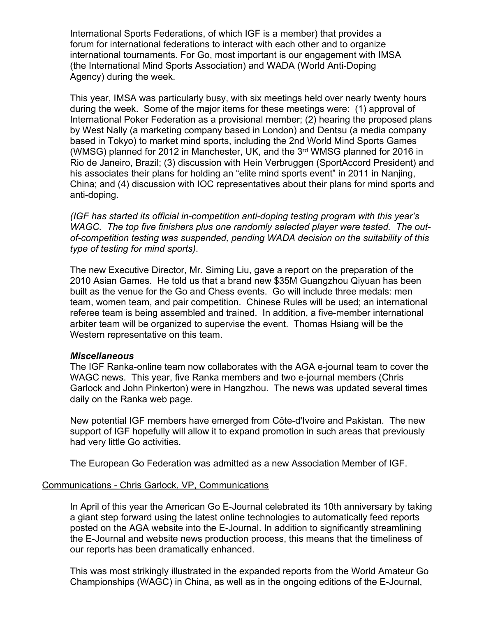International Sports Federations, of which IGF is a member) that provides a forum for international federations to interact with each other and to organize international tournaments. For Go, most important is our engagement with IMSA (the International Mind Sports Association) and WADA (World Anti-Doping Agency) during the week.

This year, IMSA was particularly busy, with six meetings held over nearly twenty hours during the week. Some of the major items for these meetings were: (1) approval of International Poker Federation as a provisional member; (2) hearing the proposed plans by West Nally (a marketing company based in London) and Dentsu (a media company based in Tokyo) to market mind sports, including the 2nd World Mind Sports Games (WMSG) planned for 2012 in Manchester, UK, and the 3<sup>rd</sup> WMSG planned for 2016 in Rio de Janeiro, Brazil; (3) discussion with Hein Verbruggen (SportAccord President) and his associates their plans for holding an "elite mind sports event" in 2011 in Naniing. China; and (4) discussion with IOC representatives about their plans for mind sports and anti-doping.

*(IGF has started its official in-competition anti-doping testing program with this years WAGC. The top five finishers plus one randomly selected player were tested. The outof-competition testing was suspended, pending WADA decision on the suitability of this type of testing for mind sports)*.

The new Executive Director, Mr. Siming Liu, gave a report on the preparation of the 2010 Asian Games. He told us that a brand new \$35M Guangzhou Qiyuan has been built as the venue for the Go and Chess events. Go will include three medals: men team, women team, and pair competition. Chinese Rules will be used; an international referee team is being assembled and trained. In addition, a five-member international arbiter team will be organized to supervise the event. Thomas Hsiang will be the Western representative on this team.

#### *Miscellaneous*

The IGF Ranka-online team now collaborates with the AGA e-journal team to cover the WAGC news. This year, five Ranka members and two e-journal members (Chris Garlock and John Pinkerton) were in Hangzhou. The news was updated several times daily on the Ranka web page.

New potential IGF members have emerged from Côte-d'Ivoire and Pakistan. The new support of IGF hopefully will allow it to expand promotion in such areas that previously had very little Go activities.

The European Go Federation was admitted as a new Association Member of IGF.

#### Communications - Chris Garlock, VP, Communications

In April of this year the American Go E-Journal celebrated its 10th anniversary by taking a giant step forward using the latest online technologies to automatically feed reports posted on the AGA website into the E-Journal. In addition to significantly streamlining the E-Journal and website news production process, this means that the timeliness of our reports has been dramatically enhanced.

This was most strikingly illustrated in the expanded reports from the World Amateur Go Championships (WAGC) in China, as well as in the ongoing editions of the E-Journal,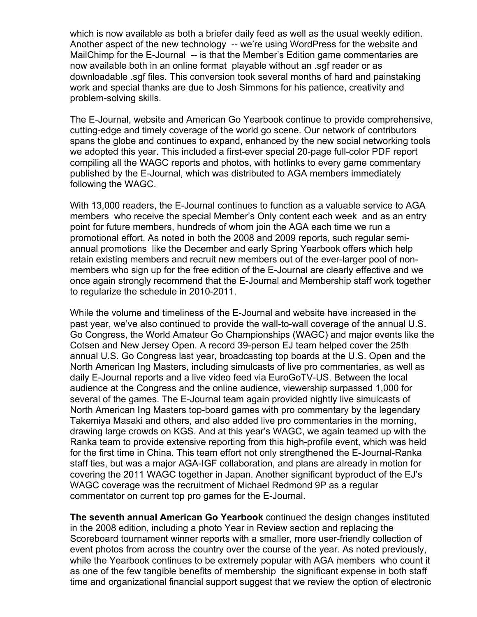which is now available as both a briefer daily feed as well as the usual weekly edition. Another aspect of the new technology -- we're using WordPress for the website and MailChimp for the E-Journal -- is that the Member's Edition game commentaries are now available both in an online format playable without an .sgf reader or as downloadable .sgf files. This conversion took several months of hard and painstaking work and special thanks are due to Josh Simmons for his patience, creativity and problem-solving skills.

The E-Journal, website and American Go Yearbook continue to provide comprehensive, cutting-edge and timely coverage of the world go scene. Our network of contributors spans the globe and continues to expand, enhanced by the new social networking tools we adopted this year. This included a first-ever special 20-page full-color PDF report compiling all the WAGC reports and photos, with hotlinks to every game commentary published by the E-Journal, which was distributed to AGA members immediately following the WAGC.

With 13,000 readers, the E-Journal continues to function as a valuable service to AGA members who receive the special Member's Only content each week and as an entry point for future members, hundreds of whom join the AGA each time we run a promotional effort. As noted in both the 2008 and 2009 reports, such regular semiannual promotions like the December and early Spring Yearbook offers which help retain existing members and recruit new members out of the ever-larger pool of nonmembers who sign up for the free edition of the E-Journal are clearly effective and we once again strongly recommend that the E-Journal and Membership staff work together to regularize the schedule in 2010-2011.

While the volume and timeliness of the E-Journal and website have increased in the past year, we've also continued to provide the wall-to-wall coverage of the annual U.S. Go Congress, the World Amateur Go Championships (WAGC) and major events like the Cotsen and New Jersey Open. A record 39-person EJ team helped cover the 25th annual U.S. Go Congress last year, broadcasting top boards at the U.S. Open and the North American Ing Masters, including simulcasts of live pro commentaries, as well as daily E-Journal reports and a live video feed via EuroGoTV-US. Between the local audience at the Congress and the online audience, viewership surpassed 1,000 for several of the games. The E-Journal team again provided nightly live simulcasts of North American Ing Masters top-board games with pro commentary by the legendary Takemiya Masaki and others, and also added live pro commentaries in the morning, drawing large crowds on KGS. And at this year's WAGC, we again teamed up with the Ranka team to provide extensive reporting from this high-profile event, which was held for the first time in China. This team effort not only strengthened the E-Journal-Ranka staff ties, but was a major AGA-IGF collaboration, and plans are already in motion for covering the 2011 WAGC together in Japan. Another significant byproduct of the EJ's WAGC coverage was the recruitment of Michael Redmond 9P as a regular commentator on current top pro games for the E-Journal.

**The seventh annual American Go Yearbook** continued the design changes instituted in the 2008 edition, including a photo Year in Review section and replacing the Scoreboard tournament winner reports with a smaller, more user-friendly collection of event photos from across the country over the course of the year. As noted previously, while the Yearbook continues to be extremely popular with AGA members who count it as one of the few tangible benefits of membership the significant expense in both staff time and organizational financial support suggest that we review the option of electronic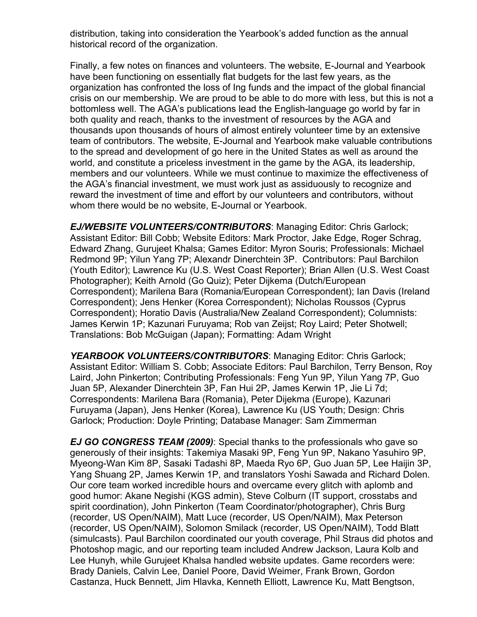distribution, taking into consideration the Yearbook's added function as the annual historical record of the organization.

Finally, a few notes on finances and volunteers. The website, E-Journal and Yearbook have been functioning on essentially flat budgets for the last few years, as the organization has confronted the loss of Ing funds and the impact of the global financial crisis on our membership. We are proud to be able to do more with less, but this is not a bottomless well. The AGA's publications lead the English-language go world by far in both quality and reach, thanks to the investment of resources by the AGA and thousands upon thousands of hours of almost entirely volunteer time by an extensive team of contributors. The website, E-Journal and Yearbook make valuable contributions to the spread and development of go here in the United States as well as around the world, and constitute a priceless investment in the game by the AGA, its leadership, members and our volunteers. While we must continue to maximize the effectiveness of the AGA's financial investment, we must work just as assiduously to recognize and reward the investment of time and effort by our volunteers and contributors, without whom there would be no website, E-Journal or Yearbook.

*EJ/WEBSITE VOLUNTEERS/CONTRIBUTORS*: Managing Editor: Chris Garlock; Assistant Editor: Bill Cobb; Website Editors: Mark Proctor, Jake Edge, Roger Schrag, Edward Zhang, Gurujeet Khalsa; Games Editor: Myron Souris; Professionals: Michael Redmond 9P; Yilun Yang 7P; Alexandr Dinerchtein 3P. Contributors: Paul Barchilon (Youth Editor); Lawrence Ku (U.S. West Coast Reporter); Brian Allen (U.S. West Coast Photographer); Keith Arnold (Go Quiz); Peter Dijkema (Dutch/European Correspondent); Marilena Bara (Romania/European Correspondent); Ian Davis (Ireland Correspondent); Jens Henker (Korea Correspondent); Nicholas Roussos (Cyprus Correspondent); Horatio Davis (Australia/New Zealand Correspondent); Columnists: James Kerwin 1P; Kazunari Furuyama; Rob van Zeijst; Roy Laird; Peter Shotwell; Translations: Bob McGuigan (Japan); Formatting: Adam Wright

*YEARBOOK VOLUNTEERS/CONTRIBUTORS*: Managing Editor: Chris Garlock; Assistant Editor: William S. Cobb; Associate Editors: Paul Barchilon, Terry Benson, Roy Laird, John Pinkerton; Contributing Professionals: Feng Yun 9P, Yilun Yang 7P, Guo Juan 5P, Alexander Dinerchtein 3P, Fan Hui 2P, James Kerwin 1P, Jie Li 7d; Correspondents: Marilena Bara (Romania), Peter Dijekma (Europe), Kazunari Furuyama (Japan), Jens Henker (Korea), Lawrence Ku (US Youth; Design: Chris Garlock; Production: Doyle Printing; Database Manager: Sam Zimmerman

*EJ GO CONGRESS TEAM (2009)*: Special thanks to the professionals who gave so generously of their insights: Takemiya Masaki 9P, Feng Yun 9P, Nakano Yasuhiro 9P, Myeong-Wan Kim 8P, Sasaki Tadashi 8P, Maeda Ryo 6P, Guo Juan 5P, Lee Haijin 3P, Yang Shuang 2P, James Kerwin 1P, and translators Yoshi Sawada and Richard Dolen. Our core team worked incredible hours and overcame every glitch with aplomb and good humor: Akane Negishi (KGS admin), Steve Colburn (IT support, crosstabs and spirit coordination), John Pinkerton (Team Coordinator/photographer), Chris Burg (recorder, US Open/NAIM), Matt Luce (recorder, US Open/NAIM), Max Peterson (recorder, US Open/NAIM), Solomon Smilack (recorder, US Open/NAIM), Todd Blatt (simulcasts). Paul Barchilon coordinated our youth coverage, Phil Straus did photos and Photoshop magic, and our reporting team included Andrew Jackson, Laura Kolb and Lee Hunyh, while Gurujeet Khalsa handled website updates. Game recorders were: Brady Daniels, Calvin Lee, Daniel Poore, David Weimer, Frank Brown, Gordon Castanza, Huck Bennett, Jim Hlavka, Kenneth Elliott, Lawrence Ku, Matt Bengtson,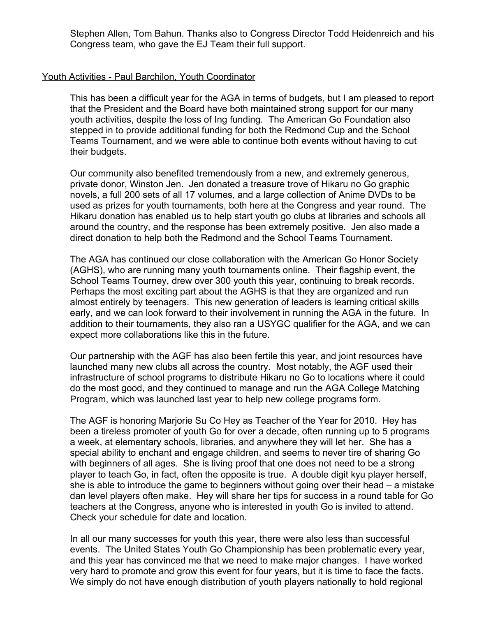Stephen Allen, Tom Bahun. Thanks also to Congress Director Todd Heidenreich and his Congress team, who gave the EJ Team their full support.

#### Youth Activities - Paul Barchilon, Youth Coordinator

This has been a difficult year for the AGA in terms of budgets, but I am pleased to report that the President and the Board have both maintained strong support for our many youth activities, despite the loss of Ing funding. The American Go Foundation also stepped in to provide additional funding for both the Redmond Cup and the School Teams Tournament, and we were able to continue both events without having to cut their budgets.

Our community also benefited tremendously from a new, and extremely generous, private donor, Winston Jen. Jen donated a treasure trove of Hikaru no Go graphic novels, a full 200 sets of all 17 volumes, and a large collection of Anime DVDs to be used as prizes for youth tournaments, both here at the Congress and year round. The Hikaru donation has enabled us to help start youth go clubs at libraries and schools all around the country, and the response has been extremely positive. Jen also made a direct donation to help both the Redmond and the School Teams Tournament.

The AGA has continued our close collaboration with the American Go Honor Society (AGHS), who are running many youth tournaments online. Their flagship event, the School Teams Tourney, drew over 300 youth this year, continuing to break records. Perhaps the most exciting part about the AGHS is that they are organized and run almost entirely by teenagers. This new generation of leaders is learning critical skills early, and we can look forward to their involvement in running the AGA in the future. In addition to their tournaments, they also ran a USYGC qualifier for the AGA, and we can expect more collaborations like this in the future.

Our partnership with the AGF has also been fertile this year, and joint resources have launched many new clubs all across the country. Most notably, the AGF used their infrastructure of school programs to distribute Hikaru no Go to locations where it could do the most good, and they continued to manage and run the AGA College Matching Program, which was launched last year to help new college programs form.

The AGF is honoring Marjorie Su Co Hey as Teacher of the Year for 2010. Hey has been a tireless promoter of youth Go for over a decade, often running up to 5 programs a week, at elementary schools, libraries, and anywhere they will let her. She has a special ability to enchant and engage children, and seems to never tire of sharing Go with beginners of all ages. She is living proof that one does not need to be a strong player to teach Go, in fact, often the opposite is true. A double digit kyu player herself, she is able to introduce the game to beginners without going over their head  $-$  a mistake dan level players often make. Hey will share her tips for success in a round table for Go teachers at the Congress, anyone who is interested in youth Go is invited to attend. Check your schedule for date and location.

In all our many successes for youth this year, there were also less than successful events. The United States Youth Go Championship has been problematic every year, and this year has convinced me that we need to make major changes. I have worked very hard to promote and grow this event for four years, but it is time to face the facts. We simply do not have enough distribution of youth players nationally to hold regional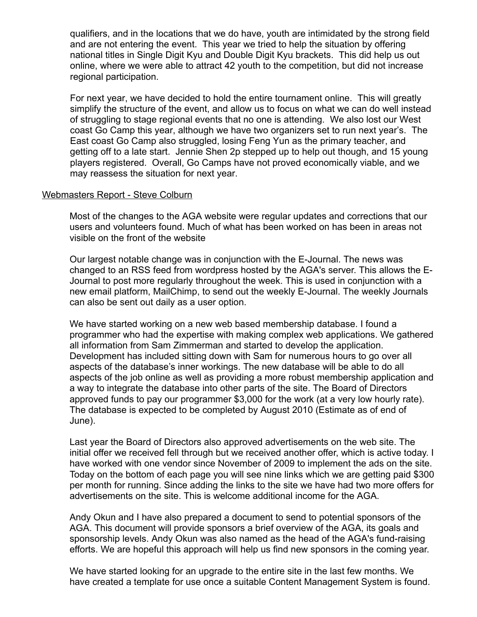qualifiers, and in the locations that we do have, youth are intimidated by the strong field and are not entering the event. This year we tried to help the situation by offering national titles in Single Digit Kyu and Double Digit Kyu brackets. This did help us out online, where we were able to attract 42 youth to the competition, but did not increase regional participation.

For next year, we have decided to hold the entire tournament online. This will greatly simplify the structure of the event, and allow us to focus on what we can do well instead of struggling to stage regional events that no one is attending. We also lost our West coast Go Camp this year, although we have two organizers set to run next year's. The East coast Go Camp also struggled, losing Feng Yun as the primary teacher, and getting off to a late start. Jennie Shen 2p stepped up to help out though, and 15 young players registered. Overall, Go Camps have not proved economically viable, and we may reassess the situation for next year.

#### Webmasters Report - Steve Colburn

Most of the changes to the AGA website were regular updates and corrections that our users and volunteers found. Much of what has been worked on has been in areas not visible on the front of the website

Our largest notable change was in conjunction with the E-Journal. The news was changed to an RSS feed from wordpress hosted by the AGA's server. This allows the E-Journal to post more regularly throughout the week. This is used in conjunction with a new email platform, MailChimp, to send out the weekly E-Journal. The weekly Journals can also be sent out daily as a user option.

We have started working on a new web based membership database. I found a programmer who had the expertise with making complex web applications. We gathered all information from Sam Zimmerman and started to develop the application. Development has included sitting down with Sam for numerous hours to go over all aspects of the database's inner workings. The new database will be able to do all aspects of the job online as well as providing a more robust membership application and a way to integrate the database into other parts of the site. The Board of Directors approved funds to pay our programmer \$3,000 for the work (at a very low hourly rate). The database is expected to be completed by August 2010 (Estimate as of end of June).

Last year the Board of Directors also approved advertisements on the web site. The initial offer we received fell through but we received another offer, which is active today. I have worked with one vendor since November of 2009 to implement the ads on the site. Today on the bottom of each page you will see nine links which we are getting paid \$300 per month for running. Since adding the links to the site we have had two more offers for advertisements on the site. This is welcome additional income for the AGA.

Andy Okun and I have also prepared a document to send to potential sponsors of the AGA. This document will provide sponsors a brief overview of the AGA, its goals and sponsorship levels. Andy Okun was also named as the head of the AGA's fund-raising efforts. We are hopeful this approach will help us find new sponsors in the coming year.

We have started looking for an upgrade to the entire site in the last few months. We have created a template for use once a suitable Content Management System is found.